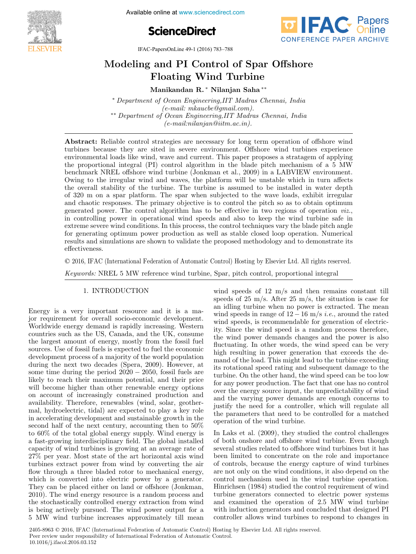

**ScienceDirect**



IFAC-PapersOnLine  $49-1$  (2016) 783–788

## Modeling and PI Control of Spar Offshore Floating Wind Turbine Floating Wind Turbine Floating Wind Turbine  $MAC-1$  apersonizing  $49-1$  (2010)  $769-766$ Modeling and PI Control of Spar Offshore Modeling and PI Control of Spar Offshore

Manikandan R.™Nilanjan Saha Manikandan R. ∗ Nilanjan Saha ∗∗ Manikandan R. ∗ Nilanjan Saha ∗∗ Manikandan R. ∗ Nilanjan Saha ∗∗  $\mathcal{N} = \mathcal{N} \cdot \mathcal{N} = \mathcal{N} \cdot \mathcal{N} \cdot \mathcal{N}$ 

 $e^{-m}$  (e-mail: mkaucbe@gmail.com). е-таи: ткаисое сутаи.com).<br><sup>\*\*</sup> Department of Ocean Engineering,IIT Madras Chennai, India\*\*  $\left( e\text{-}mail\text{-}n\\i>ainjan@i{itm.ac.in.}\right).$ ∗ Department of Ocean Engineering,IIT Madras Chennai, India ∗ Department of Ocean Engineering,IIT Madras Chennai, India  $\mathcal{L}$  is the main  $\mathcal{L}$  $\text{Ccean}$  Engineering, 111 Maart

(e-mail:nilanjan@iitm.ac.in).

(e-mail:nilanjan@iitm.ac.in).

turbines because they are sited in severe environment. Offshore wind turbines experience environmental loads like wind, wave and current. This paper proposes a stratagem of applying environmental loads like wind, wave and current. This paper proposes a stratagem of applying<br>the proportional integral (PI) control algorithm in the blade pitch mechanism of a 5 MW benchmark NREL offshore wind turbine (Jonkman et al., 2009) in a LABVIEW environment. Owing to the irregular wind and waves, the platform will be unstable which in turn affects the overall stability of the turbine. The turbine is assumed to be installed in water depth of 320 m on a spar platform. The spar when subjected to the wave loads, exhibit irregular and chaotic responses. The primary objective is to control the pitch so as to obtain optimum generated power. The control algorithm has to be effective in two regions of operation *viz.*, in controlling power in operational wind speeds and also to keep the wind turbine safe in extreme severe wind conditions. In this process, the control techniques vary the blade pitch angle for generating optimum power production as well as stable closed loop operation. Numerical results and simulations are shown to validate the proposed methodology and to demonstrate its results are shown to valid at  $\epsilon$  and to valid at  $\epsilon$  and to demonstrate its methodology and to demonstrate its interval of  $\epsilon$ Abstract: Reliable control strategies are necessary for long term operation of offshore wind Abstract: Reliable control strategies are necessary for long term operation of offshore wind effectiveness. results and simulations are shown to vandate the proposed inclindency and to demonstrate res results and simulations are shown to validate the proposed methodology and to demonstrate its

© 2016, IFAC (International Federation of Automatic Control) Hosting by Elsevier Ltd. All rights reserved.  $\approx$  2010, IFAC (International Federation of Adiomatic Control) hosting by Elsevier Dtd. All rights reset  $© 2016, IFAC$ 

Keywords: NREL 5 MW reference wind turbine, Spar, pitch control, proportional integral

# 1. INTRODUCTION 1. INTRODUCTION 1. INTRODUCTION 1. International control of the control of the control of the control of the control of the control of the con

Energy is a very important resource and it is a ma-Energy is a very important resource and it is a ma-<br>jor requirement for overall socio-economic development. Worldwide energy demand is rapidly increasing. Western countries such as the US, Canada, and the UK, consume countries such as the OS, Canada, and the OK, Consume<br>the largest amount of energy, mostly from the fossil fuel the largest amount of energy, mostly from the lossn fuel<br>sources. Use of fossil fuels is expected to fuel the economic sources. Use of lossif fuels is expected to fuel the economic<br>development process of a majority of the world population during the next two decades (Spera, 2009). However, at some time during the period  $2020 - 2050$ , fossil fuels are some time during the period  $2020 - 2030$ , lossn fuels are<br>likely to reach their maximum potential, and their price will become higher than other renewable energy options on account of increasingly constrained production and on account of increasingly constrained production and<br>availability. Therefore, renewables (wind, solar, geotheravanability. Therefore, reflewables (willd, solar, geother-<br>mal, hydroelectric, tidal) are expected to play a key role mal, hydroelectric, tidal) are expected to play a key role<br>in accelerating development and sustainable growth in the<br>example labels of the next actually accenting that to  $50\%$ second half of the next century, accounting then to 50% to 60% of the total global energy supply. Wind energy is a fast-growing interdisciplinary field. The global installed a last-growing interdisciplinary lield. The grobal instanced<br>capacity of wind turbines is growing at an average rate of capacity of wind turbines is growing at an average rate of<br>27% per year. Most state of the art horizontal axis wind turbines extract power from wind by converting the air turbines extract power from wind by converting the air<br>flow through a three bladed rotor to mechanical energy, which is converted into electric power by a generator. which is converted into electric power by a generator.<br>They can be placed either on land or offshore (Jonkman,<br>2010). The rivel measurements is a grad measurement  $2010$ ). The wind energy resource is a random process and zoro). The wind energy resource is a random process and<br>the stochastically controlled energy extraction from wind is being actively pursued. The wind power output for a 5 MW wind turbine increases approximately till mean 5 MW wind turbine increases approximately till mean 5 MW wind turbine increases approximately till mean during the next two decades (Spera, 2009). However, at<br>some time during the period  $2020 - 2050$ , fossil fuels are<br>likely to reach their maximum potential, and their price<br>will become higher than other renewable energy opt 1. INTRODUCTION wind speeds of 12 m/s and then remains constant till<br>areas for the stochastical is a mass appear of 25 m/s and then is one for the stochastical is one for the stochastical is the stochastical in the measur jor requirement for overall socio-economic development. development process of a majority of the world population mal, hydroelectric, tidal) are expected to play a key role to  $60\%$  of the total global energy supply. Wind energy is 27% per year. Most state of the art horizontal axis wind flow through a three bladed rotor to mechanical energy, the stochastically controlled energy extraction from wind

wind speeds of  $12 \text{ m/s}$  and then remains constant till wind speeds of  $12 \text{ m/s}$  and then remains constant the<br>speeds of  $25 \text{ m/s}$ . After  $25 \text{ m/s}$ , the situation is case for an idling turbine when no power is extracted. The mean an idling turbine when no power is extracted. The mean<br>wind speeds in range of  $12-16$  m/s *i.e.*, around the rated wind speeds in range of  $12 - 10$  m/s *i.e.*, around the rated<br>wind speeds, is recommendable for generation of electricwind speeds, is recommendable for generation of electricity. Since the wind speed is a random process therefore, the wind power demands changes and the power is also fluctuating. In other words, the wind speed can be very the wind power demands changes and the power is also the wind power demands changes and the power is also the wind power demands changes and the power is also<br>fluctuating. In other words, the wind speed can be very high resulting in power generation that exceeds the demgn resulting in power generation that exceeds the de-<br>mand of the load. This might lead to the turbine exceeding mand of the load. This might lead to the turbine exceeding<br>its rotational speed rating and subsequent damage to the turbine. On the other hand, the wind speed can be too low for any power production. The fact that one has no control over the energy source input, the unpredictability of wind and the varying power demands are enough concerns to  $\frac{1}{2}$ . justify the need for a controller, which will regulate all the parameters that need to be controlled for a matched operation of the wind turbine. operation of the wind turbine. operation of the wind turbine. speeds of 25 m/s. After 25 m/s, the situation is case for ity. Since the wind speed is a random process therefore, turbine. On the other hand, the wind speed can be too low the parameters that need to be controlled for a matched

wind speeds of 12 m/s and till speed till till speed till till speed till speed till till speed till speed til<br>Till speeds of 12 m/s and till speed till speed till speed till speed till speed till speed till speed till sp

In Laks et al. (2009), they studied the control challenges In Laks et al. (2009), they studied the control changes<br>of both onshore and offshore wind turbine. Even though several studies related to offshore wind turbines but it has been limited to concentrate on the role and importance of controls, because the energy capture of wind turbines are not only on the wind conditions, it also depend on the are not omy on the wind conditions, it also depend on the<br>control mechanism used in the wind turbine operation. Hinrichsen (1984) studied the control requirement of wind turbine generators connected to electric power systems and examined the operation of 2.5 MW wind turbine turbine generators connected to electric power systems Hinrichsen (1984) studied the control requirement of wind turbine generators connected to electric power systems<br>and examined the operation of 2.5 MW wind turbine and examined the operation of  $2.5$  MW wind turbine<br>with induction generators and concluded that designed PI with induction generators and concluded that designed PI controller allows wind turbines to respond to changes in been limited to concentrate on the role and importance of controls, because the energy capture of wind turbines are not only on the wind conditions, it also depend on the been immed to concentrate on the role and importance<br>of controls, because the energy capture of wind turbines of both onshore and onshore wind turbine. Even though of controls, because the energy capture of wind turbines control mechanism used in the wind turbine operation. turbine generators connected to electric power systems controller allows wind turbines to respond to changes in

2405-8963 © 2016, IFAC (International Federation of Automatic Control) Hosting by Elsevier Ltd. All rights reserved. **Peer review under responsibility of International Federation of Automatic Control.**<br>
Peer review under creation of Automatic Control. 10.1016/j.ifacol.2016.03.152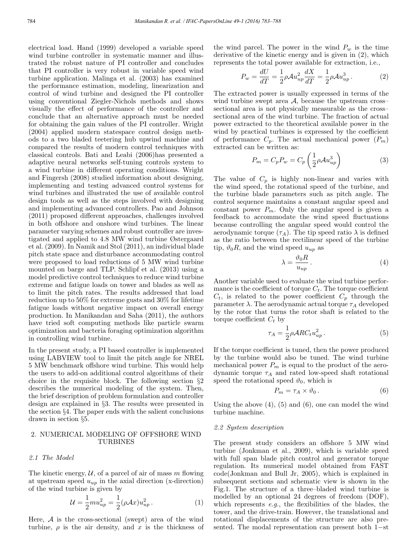electrical load. Hand (1999) developed a variable speed wind turbine controller in systematic manner and illustrated the robust nature of PI controller and concludes that PI controller is very robust in variable speed wind turbine application. Malinga et al. (2003) has examined the performance estimation, modeling, linearization and control of wind turbine and designed the PI controller using conventional Ziegler-Nichols methods and shows visually the effect of performance of the controller and conclude that an alternative approach must be needed for obtaining the gain values of the PI controller. Wright (2004) applied modern statespace control design methods to a two bladed teetering hub upwind machine and compared the results of modern control techniques with classical controls. Bati and Leabi (2006)has presented a adaptive neural networks self-tuning controls system to a wind turbine in different operating conditions. Wright and Fingersh (2008) studied information about designing, implementing and testing advanced control systems for wind turbines and illustrated the use of available control design tools as well as the steps involved with designing and implementing advanced controllers. Pao and Johnson (2011) proposed different approaches, challenges involved in both offshore and onshore wind turbines. The linear parameter varying schemes and robust controller are investigated and applied to 4.8 MW wind turbine Østergaard et al. (2009). In Namik and Stol (2011), an individual blade pitch state space and disturbance accommodating control were proposed to load reductions of 5 MW wind turbine mounted on barge and TLP. Schlipf et al. (2013) using a model predictive control techniques to reduce wind turbine extreme and fatigue loads on tower and blades as well as to limit the pitch rates. The results addressed that load reduction up to 50% for extreme gusts and 30% for lifetime fatigue loads without negative impact on overall energy production. In Manikandan and Saha (2011), the authors have tried soft computing methods like particle swarm optimization and bacteria foraging optimization algorithm in controlling wind turbine.

In the present study, a PI based controller is implemented using LABVIEW tool to limit the pitch angle for NREL 5 MW benchmark offshore wind turbine. This would help the users to add-on additional control algorithms of their choice in the requisite block. The following section §2 describes the numerical modeling of the system. Then, the brief description of problem formulation and controller design are explained in §3. The results were presented in the section §4. The paper ends with the salient conclusions drawn in section §5.

#### 2. NUMERICAL MODELING OF OFFSHORE WIND TURBINES

### 2.1 The Model

The kinetic energy,  $U$ , of a parcel of air of mass m flowing at upstream speed  $u_{up}$  in the axial direction (x-direction) of the wind turbine is given by

$$
\mathcal{U} = \frac{1}{2} m u_{up}^2 = \frac{1}{2} (\rho \mathcal{A} x) u_{up}^2 \,. \tag{1}
$$

Here,  $A$  is the cross-sectional (swept) area of the wind turbine,  $\rho$  is the air density, and x is the thickness of the wind parcel. The power in the wind  $P_w$  is the time derivative of the kinetic energy and is given in (2), which represents the total power available for extraction, i.e.,

$$
P_w = \frac{dU}{dT} = \frac{1}{2}\rho \mathcal{A}u_{up}^2 \frac{dX}{dT} = \frac{1}{2}\rho \mathcal{A}u_{up}^3.
$$
 (2)

The extracted power is usually expressed in terms of the wind turbine swept area  $A$ , because the upstream crosssectional area is not physically measurable as the cross– sectional area of the wind turbine. The fraction of actual power extracted to the theoretical available power in the wind by practical turbines is expressed by the coefficient of performance  $C_p$ . The actual mechanical power  $(P_m)$ extracted can be written as:

$$
P_m = C_p P_w = C_p \left(\frac{1}{2} \rho \mathcal{A} u_{up}^3\right) \tag{3}
$$

The value of  $C_p$  is highly non-linear and varies with the wind speed, the rotational speed of the turbine, and the turbine blade parameters such as pitch angle. The control sequence maintains a constant angular speed and constant power  $P_m$ . Only the angular speed is given a feedback to accommodate the wind speed fluctuations because controlling the angular speed would control the aerodynamic torque  $(\tau_A)$ . The tip speed ratio  $\lambda$  is defined as the ratio between the rectilinear speed of the turbine tip,  $\vartheta_0 R$ , and the wind speed  $u_{up}$  as

$$
\lambda = \frac{\vartheta_0 R}{u_{up}}.\tag{4}
$$

Another variable used to evaluate the wind turbine performance is the coefficient of torque  $C_t$ . The torque coefficient  $C_t$ , is related to the power coefficient  $C_p$  through the parameter  $\lambda$ . The aerodynamic actual torque  $\tau_A$  developed by the rotor that turns the rotor shaft is related to the torque coefficient  $C_t$  by

$$
\tau_A = \frac{1}{2} \rho \mathcal{A} R C_t u_{up}^2. \tag{5}
$$

If the torque coefficient is tuned, then the power produced by the turbine would also be tuned. The wind turbine mechanical power  $P_m$  is equal to the product of the aerodynamic torque  $\tau_A$  and rated low-speed shaft rotational speed the rotational speed  $\vartheta_0$ , which is

$$
P_m = \tau_A \times \vartheta_0 \,. \tag{6}
$$

Using the above  $(4)$ ,  $(5)$  and  $(6)$ , one can model the wind turbine machine.

#### 2.2 System description

The present study considers an offshore 5 MW wind turbine (Jonkman et al., 2009), which is variable speed with full span blade pitch control and generator torque regulation. Its numerical model obtained from FAST code(Jonkman and Bull Jr, 2005), which is explained in subsequent sections and schematic view is shown in the Fig.1. The structure of a three–bladed wind turbine is modelled by an optional 24 degrees of freedom (DOF), which represents e.g., the flexibilities of the blades, the tower, and the drive-train. However, the translational and rotational displacements of the structure are also presented. The modal representation can present both 1−st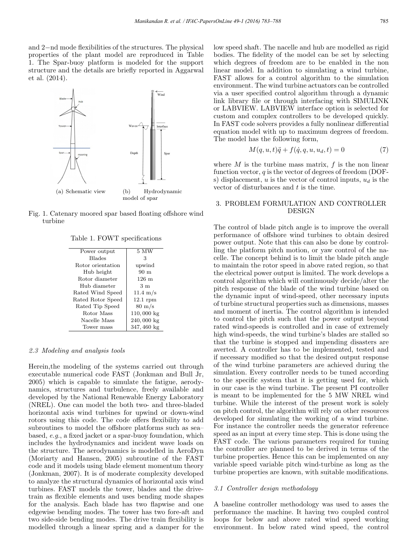and 2−nd mode flexibilities of the structures. The physical properties of the plant model are reproduced in Table 1. The Spar-buoy platform is modeled for the support structure and the details are briefly reported in Aggarwal et al. (2014).



Fig. 1. Catenary moored spar based floating offshore wind turbine

Table 1. FOWT specifications

| Power output      | 5 MW                 |
|-------------------|----------------------|
| <b>Blades</b>     | З                    |
| Rotor orientation | upwind               |
| Hub height        | $90 \text{ m}$       |
| Rotor diameter    | $126 \text{ m}$      |
| Hub diameter      | 3 m                  |
| Rated Wind Speed  | $11.4 \text{ m/s}$   |
| Rated Rotor Speed | $12.1$ rpm           |
| Rated Tip Speed   | $80 \text{ m/s}$     |
| Rotor Mass        | $110,000 \text{ kg}$ |
| Nacelle Mass      | $240,000 \text{ kg}$ |
| Tower mass        | 347,460 kg           |

#### 2.3 Modeling and analysis tools

Herein,the modeling of the systems carried out through executable numerical code FAST (Jonkman and Bull Jr, 2005) which is capable to simulate the fatigue, aerodynamics, structures and turbulence, freely available and developed by the National Renewable Energy Laboratory (NREL). One can model the both two- and three-bladed horizontal axis wind turbines for upwind or down-wind rotors using this code. The code offers flexibility to add subroutines to model the offshore platforms such as sea– based, e.g., a fixed jacket or a spar-buoy foundation, which includes the hydrodynamics and incident wave loads on the structure. The aerodynamics is modelled in AeroDyn (Moriarty and Hansen, 2005) subroutine of the FAST code and it models using blade element momentum theory (Jonkman, 2007). It is of moderate complexity developed to analyze the structural dynamics of horizontal axis wind turbines. FAST models the tower, blades and the drivetrain as flexible elements and uses bending mode shapes for the analysis. Each blade has two flapwise and one edgewise bending modes. The tower has two fore-aft and two side-side bending modes. The drive train flexibility is modelled through a linear spring and a damper for the low speed shaft. The nacelle and hub are modelled as rigid bodies. The fidelity of the model can be set by selecting which degrees of freedom are to be enabled in the non linear model. In addition to simulating a wind turbine, FAST allows for a control algorithm to the simulation environment. The wind turbine actuators can be controlled via a user specified control algorithm through a dynamic link library file or through interfacing with SIMULINK or LABVIEW. LABVIEW interface option is selected for custom and complex controllers to be developed quickly. In FAST code solvers provides a fully nonlinear differential equation model with up to maximum degrees of freedom. The model has the following form,

$$
M(q, u, t)\ddot{q} + f(\dot{q}, q, u, u_d, t) = 0 \tag{7}
$$

where  $M$  is the turbine mass matrix,  $f$  is the non linear function vector,  $q$  is the vector of degrees of freedom (DOFs) displacement, u is the vector of control inputs,  $u_d$  is the vector of disturbances and  $t$  is the time.

### 3. PROBLEM FORMULATION AND CONTROLLER DESIGN

The control of blade pitch angle is to improve the overall performance of offshore wind turbines to obtain desired power output. Note that this can also be done by controlling the platform pitch motion, or yaw control of the nacelle. The concept behind is to limit the blade pitch angle to maintain the rotor speed in above rated region, so that the electrical power output is limited. The work develops a control algorithm which will continuously decide/alter the pitch response of the blade of the wind turbine based on the dynamic input of wind-speed, other necessary inputs of turbine structural properties such as dimensions, masses and moment of inertia. The control algorithm is intended to control the pitch such that the power output beyond rated wind-speeds is controlled and in case of extremely high wind-speeds, the wind turbine's blades are stalled so that the turbine is stopped and impending disasters are averted. A controller has to be implemented, tested and if necessary modified so that the desired output response of the wind turbine parameters are achieved during the simulation. Every controller needs to be tuned according to the specific system that it is getting used for, which in our case is the wind turbine. The present PI controller is meant to be implemented for the 5 MW NREL wind turbine. While the interest of the present work is solely on pitch control, the algorithm will rely on other resources developed for simulating the working of a wind turbine. For instance the controller needs the generator reference speed as an input at every time step. This is done using the FAST code. The various parameters required for tuning the controller are planned to be derived in terms of the turbine properties. Hence this can be implemented on any variable speed variable pitch wind-turbine as long as the turbine properties are known, with suitable modifications.

### 3.1 Controller design methodology

A baseline controller methodology was used to asses the performance the machine. It having two coupled control loops for below and above rated wind speed working environment. In below rated wind speed, the control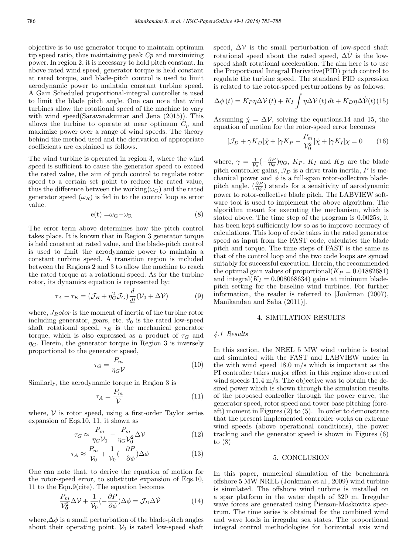objective is to use generator torque to maintain optimum tip speed ratio, thus maintaining peak  $C_p$  and maximizing power. In region 2, it is necessary to hold pitch constant. In above rated wind speed, generator torque is held constant at rated torque, and blade-pitch control is used to limit aerodynamic power to maintain constant turbine speed. A Gain Scheduled proportional-integral controller is used to limit the blade pitch angle. One can note that wind turbines allow the rotational speed of the machine to vary with wind speed(Saravanakumar and Jena (2015)). This allows the turbine to operate at near optimum  $C_p$  and maximize power over a range of wind speeds. The theory behind the method used and the derivation of appropriate coefficients are explained as follows.

The wind turbine is operated in region 3, where the wind speed is sufficient to cause the generator speed to exceed the rated value, the aim of pitch control to regulate rotor speed to a certain set point to reduce the rated value, thus the difference between the working( $\omega_G$ ) and the rated generator speed  $(\omega_R)$  is fed in to the control loop as error value.

$$
e(t) = \omega_G - \omega_R \tag{8}
$$

The error term above determines how the pitch control takes place. It is known that in Region 3 generator torque is held constant at rated value, and the blade-pitch control is used to limit the aerodynamic power to maintain a constant turbine speed. A transition region is included between the Regions 2 and 3 to allow the machine to reach the rated torque at a rotational speed. As for the turbine rotor, its dynamics equation is represented by:

$$
\tau_A - \tau_E = (\mathcal{J}_R + \eta_G^2 \mathcal{J}_G) \frac{d}{dt} (\mathcal{V}_0 + \Delta \mathcal{V})
$$
\n(9)

where,  $J_Rot$  is the moment of inertia of the turbine rotor including generator, gears, etc.  $\vartheta_0$  is the rated low-speed shaft rotational speed,  $\tau_E$  is the mechanical generator torque, which is also expressed as a product of  $\tau_G$  and  $\eta_G$ . Herein, the generator torque in Region 3 is inversely proportional to the generator speed,

$$
\tau_G = \frac{P_m}{\eta_G \mathcal{V}}\tag{10}
$$

Similarly, the aerodynamic torque in Region 3 is

$$
\tau_A = \frac{P_m}{\mathcal{V}}\tag{11}
$$

where,  $V$  is rotor speed, using a first-order Taylor series expansion of Eqs.10, 11, it shown as

$$
\tau_G \approx \frac{P_m}{\eta_G V_0} - \frac{P_m}{\eta_G V_0^2} \Delta \mathcal{V}
$$
\n(12)

$$
\tau_A \approx \frac{P_m}{\mathcal{V}_0} + \frac{1}{\mathcal{V}_0} \left( -\frac{\partial P}{\partial \phi} \right) \Delta \phi \tag{13}
$$

One can note that, to derive the equation of motion for the rotor-speed error, to substitute expansion of Eqs.10, 11 to the Eqn.9(cite). The equation becomes

$$
\frac{P_m}{\mathcal{V}_0^2} \Delta \mathcal{V} + \frac{1}{\mathcal{V}_0} (-\frac{\partial P}{\partial \phi}) \Delta \phi = \mathcal{J}_D \Delta \dot{\mathcal{V}} \tag{14}
$$

where, $\Delta\phi$  is a small perturbation of the blade-pitch angles about their operating point.  $V_0$  is rated low-speed shaft speed,  $\Delta V$  is the small perturbation of low-speed shaft rotational speed about the rated speed,  $\Delta V$  is the lowspeed shaft rotational acceleration. The aim here is to use the Proportional Integral Derivative(PID) pitch control to regulate the turbine speed. The standard PID expression is related to the rotor-speed perturbations by as follows:

$$
\Delta \phi(t) = K_P \eta \Delta \mathcal{V}(t) + K_I \int \eta \Delta \mathcal{V}(t) dt + K_D \eta \Delta \dot{\mathcal{V}}(t) (15)
$$

Assuming  $\dot{\chi} = \Delta V$ , solving the equations.14 and 15, the equation of motion for the rotor-speed error becomes

$$
[\mathcal{J}_D + \gamma K_D] \ddot{\chi} + [\gamma K_P - \frac{P_m}{\mathcal{V}_0^2}] \dot{\chi} + [\gamma K_I] \chi = 0 \qquad (16)
$$

where,  $\gamma = \frac{1}{\gamma_0}(-\frac{\partial P}{\partial \phi})\eta_G$ ,  $K_P$ ,  $K_I$  and  $K_D$  are the blade pitch controller gains,  $\mathcal{J}_D$  is a drive train inertia, P is mechanical power and  $\phi$  is a full-span rotor-collective bladepitch angle.  $(\frac{\partial P}{\partial \phi})$  stands for a sensitivity of aerodynamic power to rotor-collective blade pitch. The LABVIEW software tool is used to implement the above algorithm. The algorithm meant for executing the mechanism, which is stated above. The time step of the program is 0.0025s, it has been kept sufficiently low so as to improve accuracy of calculations. This loop of code takes in the rated generator speed as input from the FAST code, calculates the blade pitch and torque. The time steps of FAST is the same as that of the control loop and the two code loops are synced suitably for successful execution. Herein, the recommended the optimal gain values of proportional( $K_P = 0.01882681$ ) and integral( $K_I = 0.008068634$ ) gains at minimum bladepitch setting for the baseline wind turbines. For further information, the reader is referred to [Jonkman (2007), Manikandan and Saha (2011)].

### 4. SIMULATION RESULTS

### 4.1 Results

In this section, the NREL 5 MW wind turbine is tested and simulated with the FAST and LABVIEW under in the with wind speed 18.0 m/s which is important as the PI controller takes major effect in this regime above rated wind speeds 11.4 m/s. The objective was to obtain the desired power which is shown through the simulation results of the proposed controller through the power curve, the generator speed, rotor speed and tower base pitching (foreaft) moment in Figures (2) to (5). In order to demonstrate that the present implemented controller works on extreme wind speeds (above operational conditions), the power tracking and the generator speed is shown in Figures (6) to (8)

#### 5. CONCLUSION

In this paper, numerical simulation of the benchmark offshore 5 MW NREL (Jonkman et al., 2009) wind turbine is simulated. The offshore wind turbine is installed on a spar platform in the water depth of 320 m. Irregular wave forces are generated using Pierson-Moskowitz spectrum. The time series is obtained for the combined wind and wave loads in irregular sea states. The proportional integral control methodologies for horizontal axis wind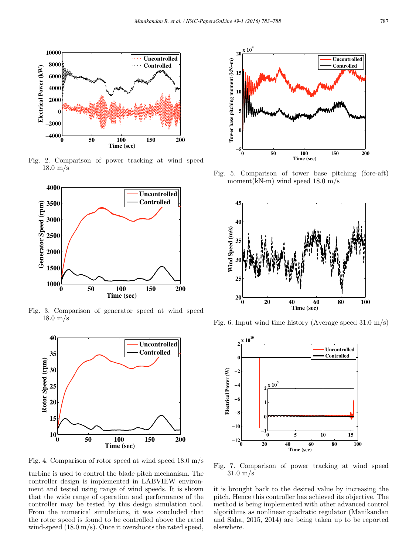

Fig. 2. Comparison of power tracking at wind speed 18.0 m/s



Fig. 3. Comparison of generator speed at wind speed 18.0 m/s



Fig. 4. Comparison of rotor speed at wind speed 18.0 m/s

turbine is used to control the blade pitch mechanism. The controller design is implemented in LABVIEW environment and tested using range of wind speeds. It is shown that the wide range of operation and performance of the controller may be tested by this design simulation tool. From the numerical simulations, it was concluded that the rotor speed is found to be controlled above the rated wind-speed (18.0 m/s). Once it overshoots the rated speed,



Fig. 5. Comparison of tower base pitching (fore-aft) moment $(kN-m)$  wind speed 18.0 m/s



Fig. 6. Input wind time history (Average speed 31.0 m/s)



Fig. 7. Comparison of power tracking at wind speed 31.0 m/s

it is brought back to the desired value by increasing the pitch. Hence this controller has achieved its objective. The method is being implemented with other advanced control algorithms as nonlinear quadratic regulator (Manikandan and Saha, 2015, 2014) are being taken up to be reported elsewhere.